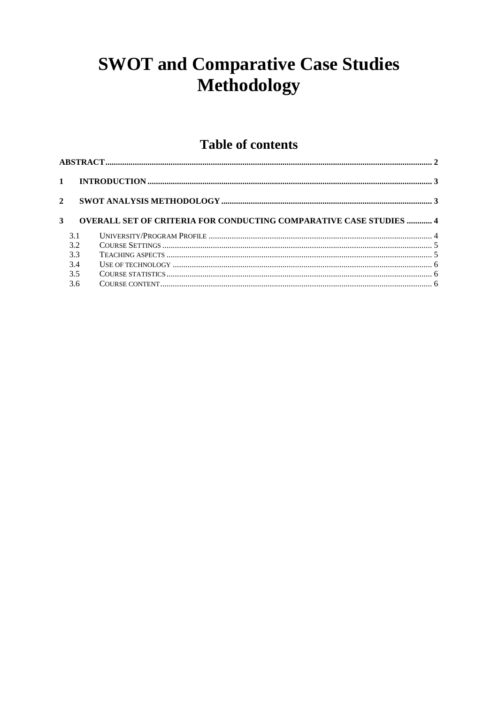# **SWOT and Comparative Case Studies Methodology**

## **Table of contents**

| $\mathbf{1}$ |     |                                                                           |  |  |  |  |
|--------------|-----|---------------------------------------------------------------------------|--|--|--|--|
| $\mathbf{2}$ |     |                                                                           |  |  |  |  |
| 3            |     | <b>OVERALL SET OF CRITERIA FOR CONDUCTING COMPARATIVE CASE STUDIES  4</b> |  |  |  |  |
|              | 3.1 |                                                                           |  |  |  |  |
|              | 3.2 |                                                                           |  |  |  |  |
|              | 3.3 |                                                                           |  |  |  |  |
|              | 3.4 |                                                                           |  |  |  |  |
|              | 3.5 |                                                                           |  |  |  |  |
|              | 3.6 |                                                                           |  |  |  |  |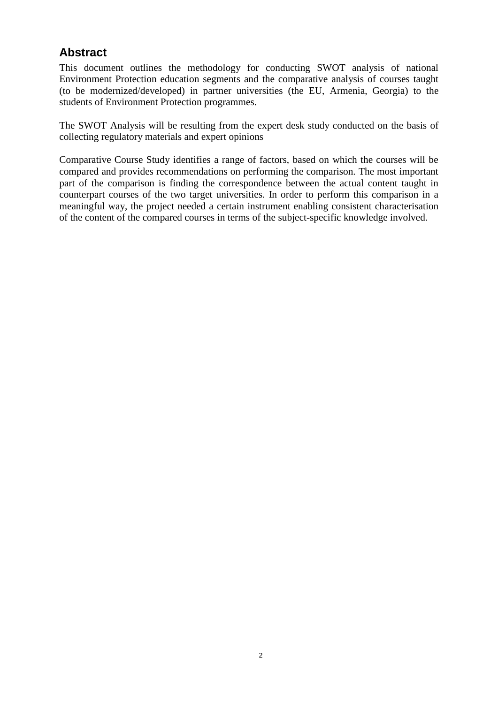## **Abstract**

This document outlines the methodology for conducting SWOT analysis of national Environment Protection education segments and the comparative analysis of courses taught (to be modernized/developed) in partner universities (the EU, Armenia, Georgia) to the students of Environment Protection programmes.

The SWOT Analysis will be resulting from the expert desk study conducted on the basis of collecting regulatory materials and expert opinions

Comparative Course Study identifies a range of factors, based on which the courses will be compared and provides recommendations on performing the comparison. The most important part of the comparison is finding the correspondence between the actual content taught in counterpart courses of the two target universities. In order to perform this comparison in a meaningful way, the project needed a certain instrument enabling consistent characterisation of the content of the compared courses in terms of the subject-specific knowledge involved.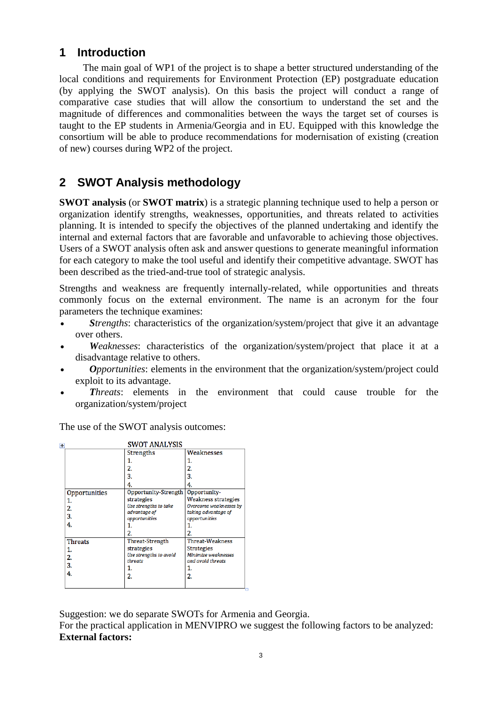### **1 Introduction**

The main goal of WP1 of the project is to shape a better structured understanding of the local conditions and requirements for Environment Protection (EP) postgraduate education (by applying the SWOT analysis). On this basis the project will conduct a range of comparative case studies that will allow the consortium to understand the set and the magnitude of differences and commonalities between the ways the target set of courses is taught to the EP students in Armenia/Georgia and in EU. Equipped with this knowledge the consortium will be able to produce recommendations for modernisation of existing (creation of new) courses during WP2 of the project.

## **2 SWOT Analysis methodology**

**SWOT analysis** (or **SWOT matrix**) is a strategic planning technique used to help a person or organization identify strengths, weaknesses, opportunities, and threats related to activities planning. It is intended to specify the objectives of the planned undertaking and identify the internal and external factors that are favorable and unfavorable to achieving those objectives. Users of a SWOT analysis often ask and answer questions to generate meaningful information for each category to make the tool useful and identify their competitive advantage. SWOT has been described as the tried-and-true tool of strategic analysis.

Strengths and weakness are frequently internally-related, while opportunities and threats commonly focus on the external environment. The name is an acronym for the four parameters the technique examines:

- *Strengths*: characteristics of the organization/system/project that give it an advantage over others.
- *Weaknesses*: characteristics of the organization/system/project that place it at a disadvantage relative to others.
- *Opportunities*: elements in the environment that the organization/system/project could exploit to its advantage.
- *Threats*: elements in the environment that could cause trouble for the organization/system/project

The use of the SWOT analysis outcomes:

| $\ddot{\textbf{r}}$ | <b>SWOT ANALYSIS</b>   |                        |
|---------------------|------------------------|------------------------|
|                     | <b>Strengths</b>       | Weaknesses             |
|                     | 1.                     | 1.                     |
|                     | 2.                     | 2.                     |
|                     | 3.                     | 3.                     |
|                     | 4.                     | 4.                     |
| Opportunities       | Opportunity-Strength   | Opportunity-           |
| 1.                  | strategies             | Weakness strategies    |
| 2.                  | Use strengths to take  | Overcome weaknesses by |
| 3.                  | advantage of           | taking advantage of    |
| 4.                  | opportunities          | opportunities          |
|                     |                        | 1.                     |
|                     | 2.                     | 2.                     |
| <b>Threats</b>      | Threat-Strength        | <b>Threat-Weakness</b> |
| 1.                  | strategies             | <b>Strategies</b>      |
| 2.                  | Use strengths to avoid | Minimize weaknesses    |
| 3.                  | threats                | and avoid threats      |
| 4.                  | 1.                     | 1.                     |
|                     | 2.                     | 2.                     |
|                     |                        |                        |

Suggestion: we do separate SWOTs for Armenia and Georgia.

For the practical application in MENVIPRO we suggest the following factors to be analyzed: **External factors:**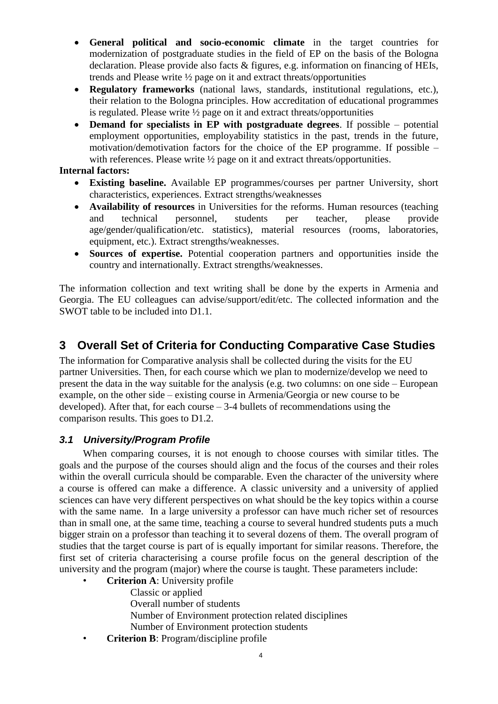- **General political and socio-economic climate** in the target countries for modernization of postgraduate studies in the field of EP on the basis of the Bologna declaration. Please provide also facts & figures, e.g. information on financing of HEIs, trends and Please write ½ page on it and extract threats/opportunities
- **Regulatory frameworks** (national laws, standards, institutional regulations, etc.), their relation to the Bologna principles. How accreditation of educational programmes is regulated. Please write ½ page on it and extract threats/opportunities
- **Demand for specialists in EP with postgraduate degrees**. If possible potential employment opportunities, employability statistics in the past, trends in the future, motivation/demotivation factors for the choice of the EP programme. If possible – with references. Please write  $\frac{1}{2}$  page on it and extract threats/opportunities.

#### **Internal factors:**

- **Existing baseline.** Available EP programmes/courses per partner University, short characteristics, experiences. Extract strengths/weaknesses
- **Availability of resources** in Universities for the reforms. Human resources (teaching and technical personnel, students per teacher, please provide age/gender/qualification/etc. statistics), material resources (rooms, laboratories, equipment, etc.). Extract strengths/weaknesses.
- **Sources of expertise.** Potential cooperation partners and opportunities inside the country and internationally. Extract strengths/weaknesses.

The information collection and text writing shall be done by the experts in Armenia and Georgia. The EU colleagues can advise/support/edit/etc. The collected information and the SWOT table to be included into D1.1.

## **3 Overall Set of Criteria for Conducting Comparative Case Studies**

The information for Comparative analysis shall be collected during the visits for the EU partner Universities. Then, for each course which we plan to modernize/develop we need to present the data in the way suitable for the analysis (e.g. two columns: on one side – European example, on the other side – existing course in Armenia/Georgia or new course to be developed). After that, for each course  $-3-4$  bullets of recommendations using the comparison results. This goes to D1.2.

#### *3.1 University/Program Profile*

When comparing courses, it is not enough to choose courses with similar titles. The goals and the purpose of the courses should align and the focus of the courses and their roles within the overall curricula should be comparable. Even the character of the university where a course is offered can make a difference. A classic university and a university of applied sciences can have very different perspectives on what should be the key topics within a course with the same name. In a large university a professor can have much richer set of resources than in small one, at the same time, teaching a course to several hundred students puts a much bigger strain on a professor than teaching it to several dozens of them. The overall program of studies that the target course is part of is equally important for similar reasons. Therefore, the first set of criteria characterising a course profile focus on the general description of the university and the program (major) where the course is taught. These parameters include:

- **Criterion A**: University profile
	- Classic or applied
	- Overall number of students
	- Number of Environment protection related disciplines
	- Number of Environment protection students
- **Criterion B**: Program/discipline profile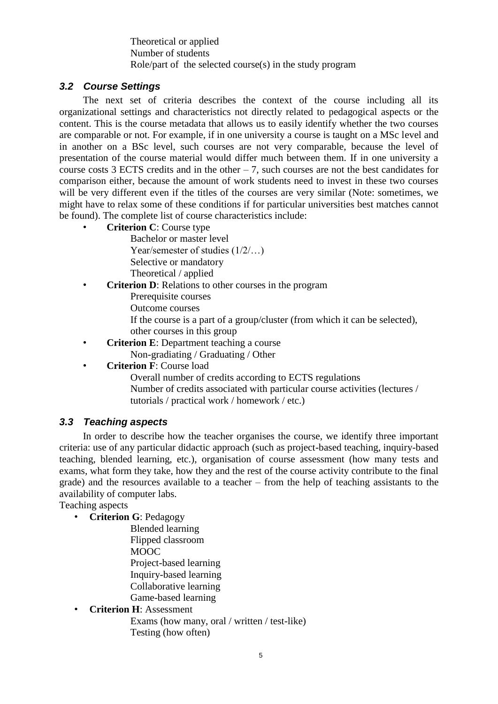Theoretical or applied Number of students Role/part of the selected course(s) in the study program

#### *3.2 Course Settings*

The next set of criteria describes the context of the course including all its organizational settings and characteristics not directly related to pedagogical aspects or the content. This is the course metadata that allows us to easily identify whether the two courses are comparable or not. For example, if in one university a course is taught on a MSc level and in another on a BSc level, such courses are not very comparable, because the level of presentation of the course material would differ much between them. If in one university a course costs  $3$  ECTS credits and in the other  $-7$ , such courses are not the best candidates for comparison either, because the amount of work students need to invest in these two courses will be very different even if the titles of the courses are very similar (Note: sometimes, we might have to relax some of these conditions if for particular universities best matches cannot be found). The complete list of course characteristics include:

• **Criterion C**: Course type

Bachelor or master level Year/semester of studies (1/2/…) Selective or mandatory Theoretical / applied

- **Criterion D**: Relations to other courses in the program
	- Prerequisite courses
	- Outcome courses
	- If the course is a part of a group/cluster (from which it can be selected), other courses in this group
- **Criterion E**: Department teaching a course Non-gradiating / Graduating / Other
- **Criterion F**: Course load

Overall number of credits according to ECTS regulations Number of credits associated with particular course activities (lectures / tutorials / practical work / homework / etc.)

#### *3.3 Teaching aspects*

In order to describe how the teacher organises the course, we identify three important criteria: use of any particular didactic approach (such as project-based teaching, inquiry-based teaching, blended learning, etc.), organisation of course assessment (how many tests and exams, what form they take, how they and the rest of the course activity contribute to the final grade) and the resources available to a teacher – from the help of teaching assistants to the availability of computer labs.

Teaching aspects

• **Criterion G**: Pedagogy

Blended learning Flipped classroom

MOOC

Project-based learning

Inquiry-based learning

Collaborative learning

Game-based learning

• **Criterion H**: Assessment

Exams (how many, oral / written / test-like) Testing (how often)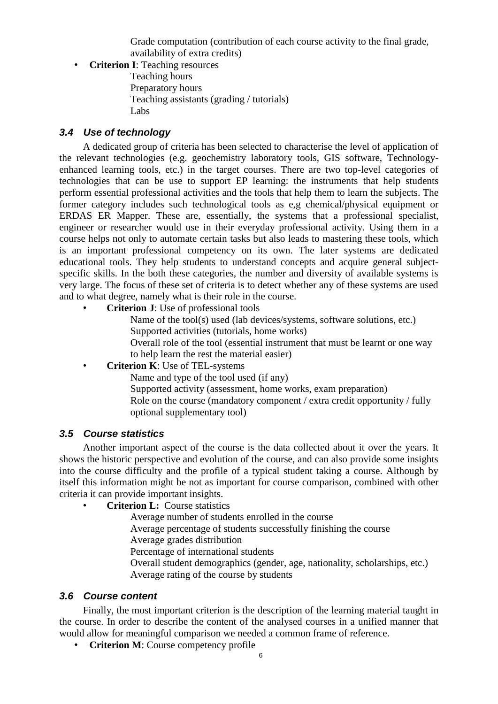Grade computation (contribution of each course activity to the final grade, availability of extra credits)

• **Criterion I**: Teaching resources Teaching hours

Preparatory hours Teaching assistants (grading / tutorials) Labs

#### *3.4 Use of technology*

A dedicated group of criteria has been selected to characterise the level of application of the relevant technologies (e.g. geochemistry laboratory tools, GIS software, Technologyenhanced learning tools, etc.) in the target courses. There are two top-level categories of technologies that can be use to support EP learning: the instruments that help students perform essential professional activities and the tools that help them to learn the subjects. The former category includes such technological tools as e,g chemical/physical equipment or ERDAS ER Mapper. These are, essentially, the systems that a professional specialist, engineer or researcher would use in their everyday professional activity. Using them in a course helps not only to automate certain tasks but also leads to mastering these tools, which is an important professional competency on its own. The later systems are dedicated educational tools. They help students to understand concepts and acquire general subjectspecific skills. In the both these categories, the number and diversity of available systems is very large. The focus of these set of criteria is to detect whether any of these systems are used and to what degree, namely what is their role in the course.

• **Criterion J**: Use of professional tools

Name of the tool(s) used (lab devices/systems, software solutions, etc.) Supported activities (tutorials, home works)

Overall role of the tool (essential instrument that must be learnt or one way to help learn the rest the material easier)

#### • **Criterion K**: Use of TEL-systems

Name and type of the tool used (if any)

Supported activity (assessment, home works, exam preparation) Role on the course (mandatory component / extra credit opportunity / fully optional supplementary tool)

#### *3.5 Course statistics*

Another important aspect of the course is the data collected about it over the years. It shows the historic perspective and evolution of the course, and can also provide some insights into the course difficulty and the profile of a typical student taking a course. Although by itself this information might be not as important for course comparison, combined with other criteria it can provide important insights.

• **Criterion L:** Course statistics

Average number of students enrolled in the course

Average percentage of students successfully finishing the course

Average grades distribution

Percentage of international students

Overall student demographics (gender, age, nationality, scholarships, etc.) Average rating of the course by students

#### *3.6 Course content*

Finally, the most important criterion is the description of the learning material taught in the course. In order to describe the content of the analysed courses in a unified manner that would allow for meaningful comparison we needed a common frame of reference.

• **Criterion M**: Course competency profile